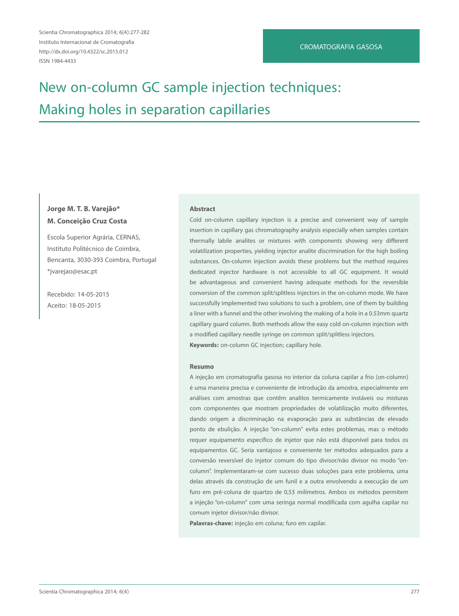Scientia Chromatographica 2014; 6(4):277-282 Instituto Internacional de Cromatografia http://dx.doi.org/10.4322/sc.2015.012 ISSN 1984-4433

# New on-column GC sample injection techniques: Making holes in separation capillaries

# **Jorge M. T. B. Varejão\* M. Conceição Cruz Costa**

Escola Superior Agrária, CERNAS, Instituto Politécnico de Coimbra, Bencanta, 3030-393 Coimbra, Portugal \*jvarejao@esac.pt

Recebido: 14-05-2015 Aceito: 18-05-2015

#### **Abstract**

Cold on-column capillary injection is a precise and convenient way of sample insertion in capillary gas chromatography analysis especially when samples contain thermally labile analites or mixtures with components showing very different volatilization properties, yielding injector analite discrimination for the high boiling substances. On-column injection avoids these problems but the method requires dedicated injector hardware is not accessible to all GC equipment. It would be advantageous and convenient having adequate methods for the reversible conversion of the common split/splitless injectors in the on-column mode. We have successfully implemented two solutions to such a problem, one of them by building a liner with a funnel and the other involving the making of a hole in a 0.53mm quartz capillary guard column. Both methods allow the easy cold on-column injection with a modified capillary needle syringe on common split/splitless injectors. **Keywords:** on-column GC injection; capillary hole.

#### **Resumo**

A injeção em cromatografia gasosa no interior da coluna capilar a frio (on-column) é uma maneira precisa e conveniente de introdução da amostra, especialmente em análises com amostras que contêm analitos termicamente instáveis ou misturas com componentes que mostram propriedades de volatilização muito diferentes, dando origem a discriminação na evaporação para as substâncias de elevado ponto de ebulição. A injeção "on-column" evita estes problemas, mas o método requer equipamento específico de injetor que não está disponível para todos os equipamentos GC. Seria vantajoso e conveniente ter métodos adequados para a conversão reversível do injetor comum do tipo divisor/não divisor no modo "oncolumn". Implementaram-se com sucesso duas soluções para este problema, uma delas através da construção de um funil e a outra envolvendo a execução de um furo em pré-coluna de quartzo de 0,53 milímetros. Ambos os métodos permitem a injeção "on-column" com uma seringa normal modificada com agulha capilar no comum injetor divisor/não divisor.

**Palavras-chave:** injeção em coluna; furo em capilar.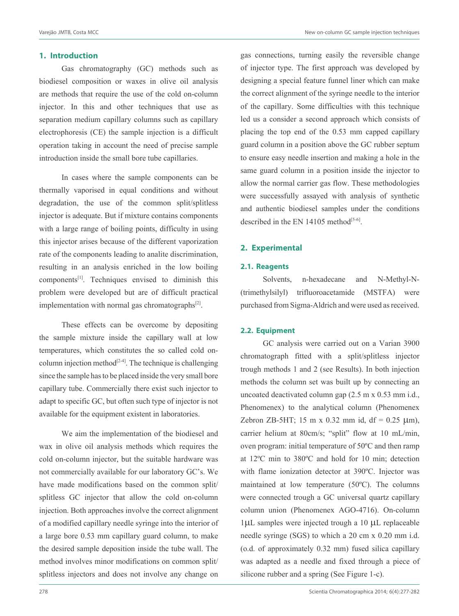#### **1. Introduction**

Gas chromatography (GC) methods such as biodiesel composition or waxes in olive oil analysis are methods that require the use of the cold on-column injector. In this and other techniques that use as separation medium capillary columns such as capillary electrophoresis (CE) the sample injection is a difficult operation taking in account the need of precise sample introduction inside the small bore tube capillaries.

In cases where the sample components can be thermally vaporised in equal conditions and without degradation, the use of the common split/splitless injector is adequate. But if mixture contains components with a large range of boiling points, difficulty in using this injector arises because of the different vaporization rate of the components leading to analite discrimination, resulting in an analysis enriched in the low boiling components[1]. Techniques envised to diminish this problem were developed but are of difficult practical implementation with normal gas chromatographs $^{[2]}$ .

These effects can be overcome by depositing the sample mixture inside the capillary wall at low temperatures, which constitutes the so called cold oncolumn injection method<sup>[2-4]</sup>. The technique is challenging since the sample has to be placed inside the very small bore capillary tube. Commercially there exist such injector to adapt to specific GC, but often such type of injector is not available for the equipment existent in laboratories.

We aim the implementation of the biodiesel and wax in olive oil analysis methods which requires the cold on-column injector, but the suitable hardware was not commercially available for our laboratory GC's. We have made modifications based on the common split/ splitless GC injector that allow the cold on-column injection. Both approaches involve the correct alignment of a modified capillary needle syringe into the interior of a large bore 0.53 mm capillary guard column, to make the desired sample deposition inside the tube wall. The method involves minor modifications on common split/ splitless injectors and does not involve any change on

gas connections, turning easily the reversible change of injector type. The first approach was developed by designing a special feature funnel liner which can make the correct alignment of the syringe needle to the interior of the capillary. Some difficulties with this technique led us a consider a second approach which consists of placing the top end of the 0.53 mm capped capillary guard column in a position above the GC rubber septum to ensure easy needle insertion and making a hole in the same guard column in a position inside the injector to allow the normal carrier gas flow. These methodologies were successfully assayed with analysis of synthetic and authentic biodiesel samples under the conditions described in the EN 14105 method<sup>[5-6]</sup>.

## **2. Experimental**

#### **2.1. Reagents**

Solvents, n-hexadecane and N-Methyl-N- (trimethylsilyl) trifluoroacetamide (MSTFA) were purchased from Sigma-Aldrich and were used as received.

### **2.2. Equipment**

GC analysis were carried out on a Varian 3900 chromatograph fitted with a split/splitless injector trough methods 1 and 2 (see Results). In both injection methods the column set was built up by connecting an uncoated deactivated column gap (2.5 m x 0.53 mm i.d., Phenomenex) to the analytical column (Phenomenex Zebron ZB-5HT; 15 m x 0.32 mm id, df = 0.25  $\mu$ m), carrier helium at 80cm/s; "split" flow at 10 mL/min, oven program: initial temperature of 50ºC and then ramp at 12ºC min to 380ºC and hold for 10 min; detection with flame ionization detector at 390ºC. Injector was maintained at low temperature (50ºC). The columns were connected trough a GC universal quartz capillary column union (Phenomenex AGO-4716). On-column 1µL samples were injected trough a 10 µL replaceable needle syringe (SGS) to which a 20 cm x 0.20 mm i.d. (o.d. of approximately 0.32 mm) fused silica capillary was adapted as a needle and fixed through a piece of silicone rubber and a spring (See Figure 1-c).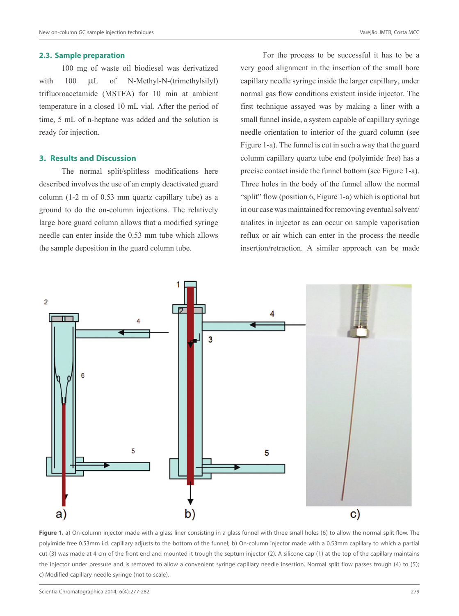#### **2.3. Sample preparation**

100 mg of waste oil biodiesel was derivatized with 100  $\mu$ L of N-Methyl-N-(trimethylsilyl) trifluoroacetamide (MSTFA) for 10 min at ambient temperature in a closed 10 mL vial. After the period of time, 5 mL of n-heptane was added and the solution is ready for injection.

### **3. Results and Discussion**

The normal split/splitless modifications here described involves the use of an empty deactivated guard column (1-2 m of 0.53 mm quartz capillary tube) as a ground to do the on-column injections. The relatively large bore guard column allows that a modified syringe needle can enter inside the 0.53 mm tube which allows the sample deposition in the guard column tube.

For the process to be successful it has to be a very good alignment in the insertion of the small bore capillary needle syringe inside the larger capillary, under normal gas flow conditions existent inside injector. The first technique assayed was by making a liner with a small funnel inside, a system capable of capillary syringe needle orientation to interior of the guard column (see Figure 1-a). The funnel is cut in such a way that the guard column capillary quartz tube end (polyimide free) has a precise contact inside the funnel bottom (see Figure 1-a). Three holes in the body of the funnel allow the normal "split" flow (position 6, Figure 1-a) which is optional but in our case was maintained for removing eventual solvent/ analites in injector as can occur on sample vaporisation reflux or air which can enter in the process the needle insertion/retraction. A similar approach can be made



**Figure 1.** a) On-column injector made with a glass liner consisting in a glass funnel with three small holes (6) to allow the normal split flow. The polyimide free 0.53mm i.d. capillary adjusts to the bottom of the funnel; b) On-column injector made with a 0.53mm capillary to which a partial cut (3) was made at 4 cm of the front end and mounted it trough the septum injector (2). A silicone cap (1) at the top of the capillary maintains the injector under pressure and is removed to allow a convenient syringe capillary needle insertion. Normal split flow passes trough (4) to (5); c) Modified capillary needle syringe (not to scale).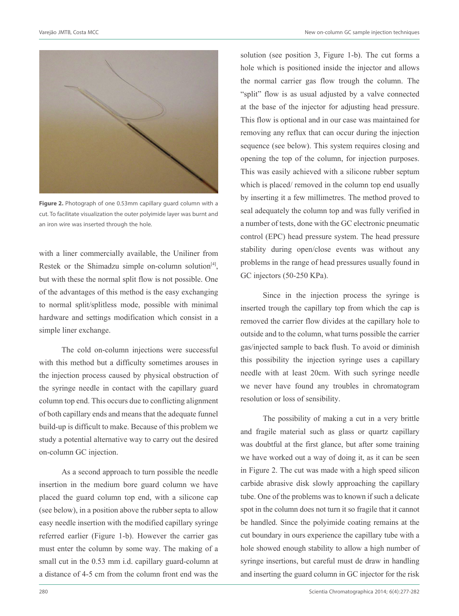

**Figure 2.** Photograph of one 0.53mm capillary guard column with a cut. To facilitate visualization the outer polyimide layer was burnt and an iron wire was inserted through the hole.

with a liner commercially available, the Uniliner from Restek or the Shimadzu simple on-column solution $[4]$ , but with these the normal split flow is not possible. One of the advantages of this method is the easy exchanging to normal split/splitless mode, possible with minimal hardware and settings modification which consist in a simple liner exchange.

The cold on-column injections were successful with this method but a difficulty sometimes arouses in the injection process caused by physical obstruction of the syringe needle in contact with the capillary guard column top end. This occurs due to conflicting alignment of both capillary ends and means that the adequate funnel build-up is difficult to make. Because of this problem we study a potential alternative way to carry out the desired on-column GC injection.

As a second approach to turn possible the needle insertion in the medium bore guard column we have placed the guard column top end, with a silicone cap (see below), in a position above the rubber septa to allow easy needle insertion with the modified capillary syringe referred earlier (Figure 1-b). However the carrier gas must enter the column by some way. The making of a small cut in the 0.53 mm i.d. capillary guard-column at a distance of 4-5 cm from the column front end was the solution (see position 3, Figure 1-b). The cut forms a hole which is positioned inside the injector and allows the normal carrier gas flow trough the column. The "split" flow is as usual adjusted by a valve connected at the base of the injector for adjusting head pressure. This flow is optional and in our case was maintained for removing any reflux that can occur during the injection sequence (see below). This system requires closing and opening the top of the column, for injection purposes. This was easily achieved with a silicone rubber septum which is placed/ removed in the column top end usually by inserting it a few millimetres. The method proved to seal adequately the column top and was fully verified in a number of tests, done with the GC electronic pneumatic control (EPC) head pressure system. The head pressure stability during open/close events was without any problems in the range of head pressures usually found in GC injectors (50-250 KPa).

Since in the injection process the syringe is inserted trough the capillary top from which the cap is removed the carrier flow divides at the capillary hole to outside and to the column, what turns possible the carrier gas/injected sample to back flush. To avoid or diminish this possibility the injection syringe uses a capillary needle with at least 20cm. With such syringe needle we never have found any troubles in chromatogram resolution or loss of sensibility.

The possibility of making a cut in a very brittle and fragile material such as glass or quartz capillary was doubtful at the first glance, but after some training we have worked out a way of doing it, as it can be seen in Figure 2. The cut was made with a high speed silicon carbide abrasive disk slowly approaching the capillary tube. One of the problems was to known if such a delicate spot in the column does not turn it so fragile that it cannot be handled. Since the polyimide coating remains at the cut boundary in ours experience the capillary tube with a hole showed enough stability to allow a high number of syringe insertions, but careful must de draw in handling and inserting the guard column in GC injector for the risk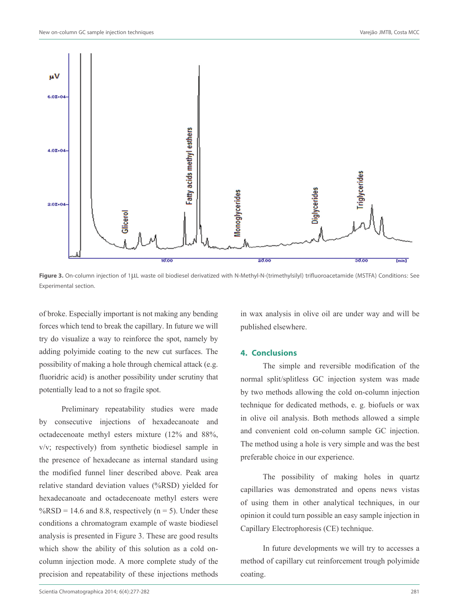

Figure 3. On-column injection of 1LLL waste oil biodiesel derivatized with N-Methyl-N-(trimethylsilyl) trifluoroacetamide (MSTFA) Conditions: See Experimental section.

of broke. Especially important is not making any bending forces which tend to break the capillary. In future we will try do visualize a way to reinforce the spot, namely by adding polyimide coating to the new cut surfaces. The possibility of making a hole through chemical attack (e.g. fluoridric acid) is another possibility under scrutiny that potentially lead to a not so fragile spot.

Preliminary repeatability studies were made by consecutive injections of hexadecanoate and octadecenoate methyl esters mixture (12% and 88%, v/v; respectively) from synthetic biodiesel sample in the presence of hexadecane as internal standard using the modified funnel liner described above. Peak area relative standard deviation values (%RSD) yielded for hexadecanoate and octadecenoate methyl esters were  $\%RSD = 14.6$  and 8.8, respectively (n = 5). Under these conditions a chromatogram example of waste biodiesel analysis is presented in Figure 3. These are good results which show the ability of this solution as a cold oncolumn injection mode. A more complete study of the precision and repeatability of these injections methods

in wax analysis in olive oil are under way and will be published elsewhere.

### **4. Conclusions**

The simple and reversible modification of the normal split/splitless GC injection system was made by two methods allowing the cold on-column injection technique for dedicated methods, e. g. biofuels or wax in olive oil analysis. Both methods allowed a simple and convenient cold on-column sample GC injection. The method using a hole is very simple and was the best preferable choice in our experience.

The possibility of making holes in quartz capillaries was demonstrated and opens news vistas of using them in other analytical techniques, in our opinion it could turn possible an easy sample injection in Capillary Electrophoresis (CE) technique.

In future developments we will try to accesses a method of capillary cut reinforcement trough polyimide coating.